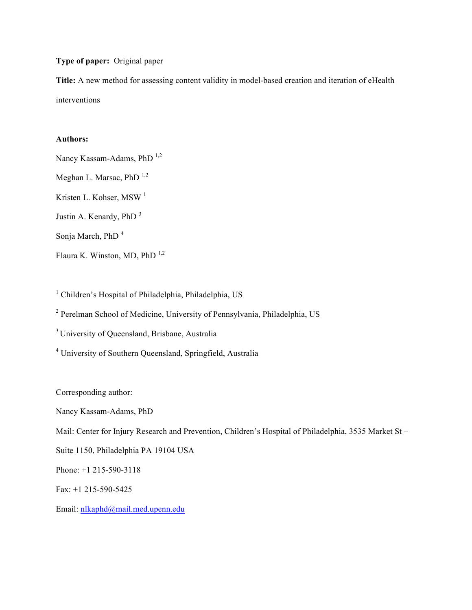**Type of paper:** Original paper

**Title:** A new method for assessing content validity in model-based creation and iteration of eHealth interventions

# **Authors:**

Nancy Kassam-Adams, PhD<sup>1,2</sup> Meghan L. Marsac, PhD $^{1,2}$ Kristen L. Kohser, MSW<sup>1</sup> Justin A. Kenardy, PhD <sup>3</sup> Sonja March, PhD<sup>4</sup> Flaura K. Winston, MD, PhD  $^{1,2}$ 

<sup>1</sup> Children's Hospital of Philadelphia, Philadelphia, US

<sup>2</sup> Perelman School of Medicine, University of Pennsylvania, Philadelphia, US

<sup>3</sup> University of Queensland, Brisbane, Australia

<sup>4</sup> University of Southern Queensland, Springfield, Australia

Corresponding author:

Nancy Kassam-Adams, PhD

Mail: Center for Injury Research and Prevention, Children's Hospital of Philadelphia, 3535 Market St –

Suite 1150, Philadelphia PA 19104 USA

Phone: +1 215-590-3118

Fax: +1 215-590-5425

Email: nlkaphd@mail.med.upenn.edu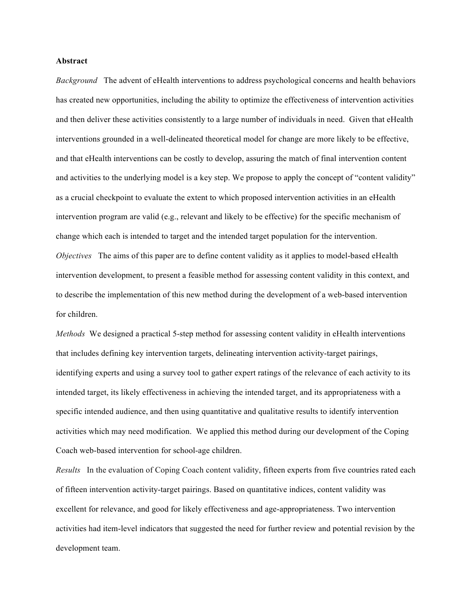#### **Abstract**

*Background* The advent of eHealth interventions to address psychological concerns and health behaviors has created new opportunities, including the ability to optimize the effectiveness of intervention activities and then deliver these activities consistently to a large number of individuals in need. Given that eHealth interventions grounded in a well-delineated theoretical model for change are more likely to be effective, and that eHealth interventions can be costly to develop, assuring the match of final intervention content and activities to the underlying model is a key step. We propose to apply the concept of "content validity" as a crucial checkpoint to evaluate the extent to which proposed intervention activities in an eHealth intervention program are valid (e.g., relevant and likely to be effective) for the specific mechanism of change which each is intended to target and the intended target population for the intervention. *Objectives* The aims of this paper are to define content validity as it applies to model-based eHealth intervention development, to present a feasible method for assessing content validity in this context, and to describe the implementation of this new method during the development of a web-based intervention for children.

*Methods* We designed a practical 5-step method for assessing content validity in eHealth interventions that includes defining key intervention targets, delineating intervention activity-target pairings, identifying experts and using a survey tool to gather expert ratings of the relevance of each activity to its intended target, its likely effectiveness in achieving the intended target, and its appropriateness with a specific intended audience, and then using quantitative and qualitative results to identify intervention activities which may need modification. We applied this method during our development of the Coping Coach web-based intervention for school-age children.

*Results* In the evaluation of Coping Coach content validity, fifteen experts from five countries rated each of fifteen intervention activity-target pairings. Based on quantitative indices, content validity was excellent for relevance, and good for likely effectiveness and age-appropriateness. Two intervention activities had item-level indicators that suggested the need for further review and potential revision by the development team.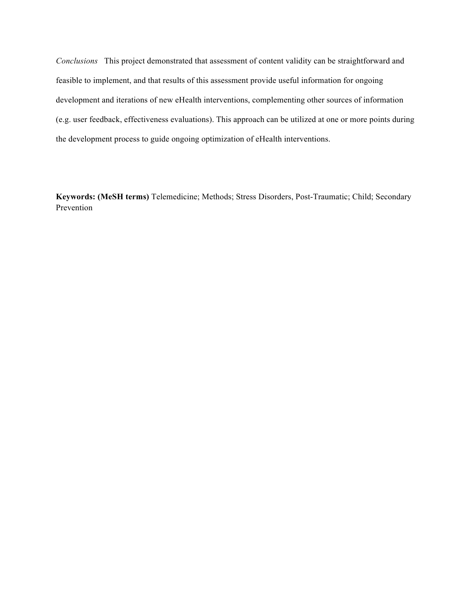*Conclusions* This project demonstrated that assessment of content validity can be straightforward and feasible to implement, and that results of this assessment provide useful information for ongoing development and iterations of new eHealth interventions, complementing other sources of information (e.g. user feedback, effectiveness evaluations). This approach can be utilized at one or more points during the development process to guide ongoing optimization of eHealth interventions.

**Keywords: (MeSH terms)** Telemedicine; Methods; Stress Disorders, Post-Traumatic; Child; Secondary Prevention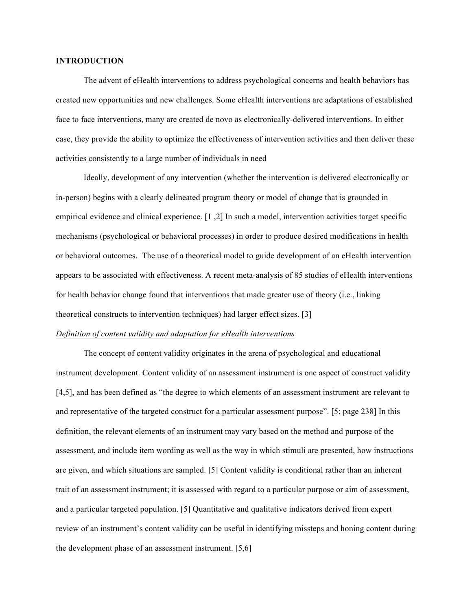#### **INTRODUCTION**

The advent of eHealth interventions to address psychological concerns and health behaviors has created new opportunities and new challenges. Some eHealth interventions are adaptations of established face to face interventions, many are created de novo as electronically-delivered interventions. In either case, they provide the ability to optimize the effectiveness of intervention activities and then deliver these activities consistently to a large number of individuals in need

Ideally, development of any intervention (whether the intervention is delivered electronically or in-person) begins with a clearly delineated program theory or model of change that is grounded in empirical evidence and clinical experience. [1 ,2] In such a model, intervention activities target specific mechanisms (psychological or behavioral processes) in order to produce desired modifications in health or behavioral outcomes. The use of a theoretical model to guide development of an eHealth intervention appears to be associated with effectiveness. A recent meta-analysis of 85 studies of eHealth interventions for health behavior change found that interventions that made greater use of theory (i.e., linking theoretical constructs to intervention techniques) had larger effect sizes. [3]

## *Definition of content validity and adaptation for eHealth interventions*

The concept of content validity originates in the arena of psychological and educational instrument development. Content validity of an assessment instrument is one aspect of construct validity [4,5], and has been defined as "the degree to which elements of an assessment instrument are relevant to and representative of the targeted construct for a particular assessment purpose". [5; page 238] In this definition, the relevant elements of an instrument may vary based on the method and purpose of the assessment, and include item wording as well as the way in which stimuli are presented, how instructions are given, and which situations are sampled. [5] Content validity is conditional rather than an inherent trait of an assessment instrument; it is assessed with regard to a particular purpose or aim of assessment, and a particular targeted population. [5] Quantitative and qualitative indicators derived from expert review of an instrument's content validity can be useful in identifying missteps and honing content during the development phase of an assessment instrument. [5,6]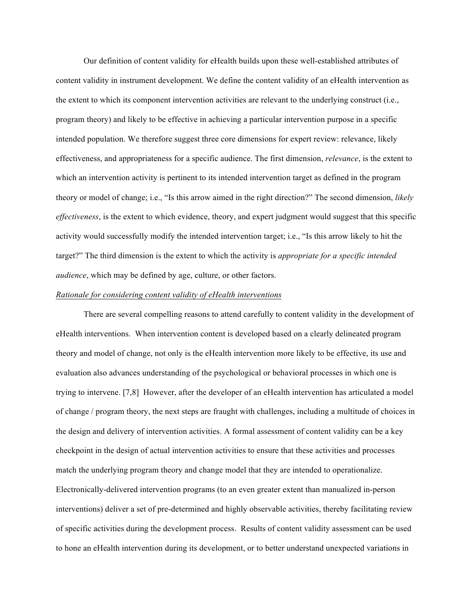Our definition of content validity for eHealth builds upon these well-established attributes of content validity in instrument development. We define the content validity of an eHealth intervention as the extent to which its component intervention activities are relevant to the underlying construct (i.e., program theory) and likely to be effective in achieving a particular intervention purpose in a specific intended population. We therefore suggest three core dimensions for expert review: relevance, likely effectiveness, and appropriateness for a specific audience. The first dimension, *relevance*, is the extent to which an intervention activity is pertinent to its intended intervention target as defined in the program theory or model of change; i.e., "Is this arrow aimed in the right direction?" The second dimension, *likely effectiveness*, is the extent to which evidence, theory, and expert judgment would suggest that this specific activity would successfully modify the intended intervention target; i.e., "Is this arrow likely to hit the target?" The third dimension is the extent to which the activity is *appropriate for a specific intended audience*, which may be defined by age, culture, or other factors.

#### *Rationale for considering content validity of eHealth interventions*

There are several compelling reasons to attend carefully to content validity in the development of eHealth interventions. When intervention content is developed based on a clearly delineated program theory and model of change, not only is the eHealth intervention more likely to be effective, its use and evaluation also advances understanding of the psychological or behavioral processes in which one is trying to intervene. [7,8] However, after the developer of an eHealth intervention has articulated a model of change / program theory, the next steps are fraught with challenges, including a multitude of choices in the design and delivery of intervention activities. A formal assessment of content validity can be a key checkpoint in the design of actual intervention activities to ensure that these activities and processes match the underlying program theory and change model that they are intended to operationalize. Electronically-delivered intervention programs (to an even greater extent than manualized in-person interventions) deliver a set of pre-determined and highly observable activities, thereby facilitating review of specific activities during the development process. Results of content validity assessment can be used to hone an eHealth intervention during its development, or to better understand unexpected variations in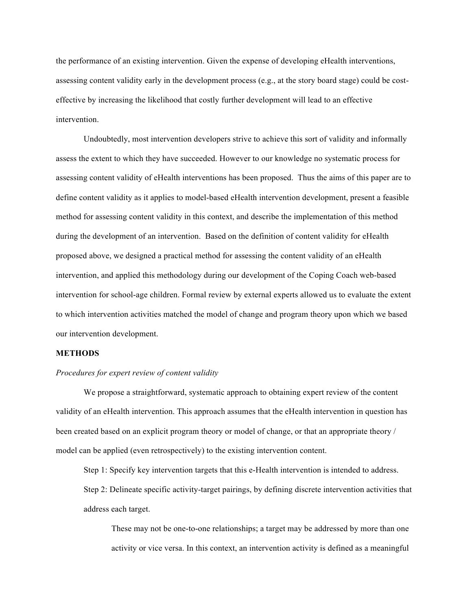the performance of an existing intervention. Given the expense of developing eHealth interventions, assessing content validity early in the development process (e.g., at the story board stage) could be costeffective by increasing the likelihood that costly further development will lead to an effective intervention.

Undoubtedly, most intervention developers strive to achieve this sort of validity and informally assess the extent to which they have succeeded. However to our knowledge no systematic process for assessing content validity of eHealth interventions has been proposed. Thus the aims of this paper are to define content validity as it applies to model-based eHealth intervention development, present a feasible method for assessing content validity in this context, and describe the implementation of this method during the development of an intervention. Based on the definition of content validity for eHealth proposed above, we designed a practical method for assessing the content validity of an eHealth intervention, and applied this methodology during our development of the Coping Coach web-based intervention for school-age children. Formal review by external experts allowed us to evaluate the extent to which intervention activities matched the model of change and program theory upon which we based our intervention development.

## **METHODS**

#### *Procedures for expert review of content validity*

We propose a straightforward, systematic approach to obtaining expert review of the content validity of an eHealth intervention. This approach assumes that the eHealth intervention in question has been created based on an explicit program theory or model of change, or that an appropriate theory / model can be applied (even retrospectively) to the existing intervention content.

Step 1: Specify key intervention targets that this e-Health intervention is intended to address. Step 2: Delineate specific activity-target pairings, by defining discrete intervention activities that address each target.

These may not be one-to-one relationships; a target may be addressed by more than one activity or vice versa. In this context, an intervention activity is defined as a meaningful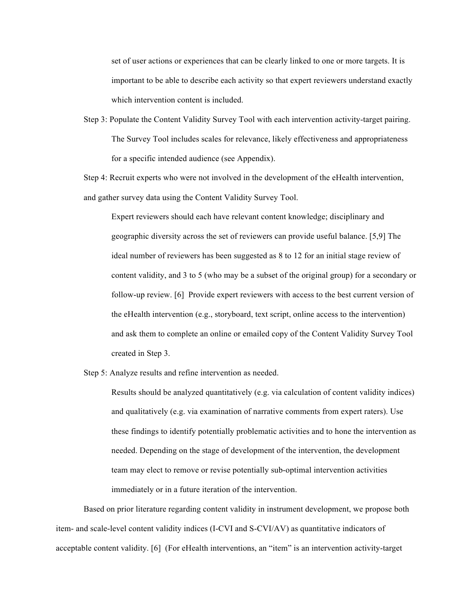set of user actions or experiences that can be clearly linked to one or more targets. It is important to be able to describe each activity so that expert reviewers understand exactly which intervention content is included.

Step 3: Populate the Content Validity Survey Tool with each intervention activity-target pairing. The Survey Tool includes scales for relevance, likely effectiveness and appropriateness for a specific intended audience (see Appendix).

Step 4: Recruit experts who were not involved in the development of the eHealth intervention, and gather survey data using the Content Validity Survey Tool.

Expert reviewers should each have relevant content knowledge; disciplinary and geographic diversity across the set of reviewers can provide useful balance. [5,9] The ideal number of reviewers has been suggested as 8 to 12 for an initial stage review of content validity, and 3 to 5 (who may be a subset of the original group) for a secondary or follow-up review. [6] Provide expert reviewers with access to the best current version of the eHealth intervention (e.g., storyboard, text script, online access to the intervention) and ask them to complete an online or emailed copy of the Content Validity Survey Tool created in Step 3.

Step 5: Analyze results and refine intervention as needed.

Results should be analyzed quantitatively (e.g. via calculation of content validity indices) and qualitatively (e.g. via examination of narrative comments from expert raters). Use these findings to identify potentially problematic activities and to hone the intervention as needed. Depending on the stage of development of the intervention, the development team may elect to remove or revise potentially sub-optimal intervention activities immediately or in a future iteration of the intervention.

Based on prior literature regarding content validity in instrument development, we propose both item- and scale-level content validity indices (I-CVI and S-CVI/AV) as quantitative indicators of acceptable content validity. [6] (For eHealth interventions, an "item" is an intervention activity-target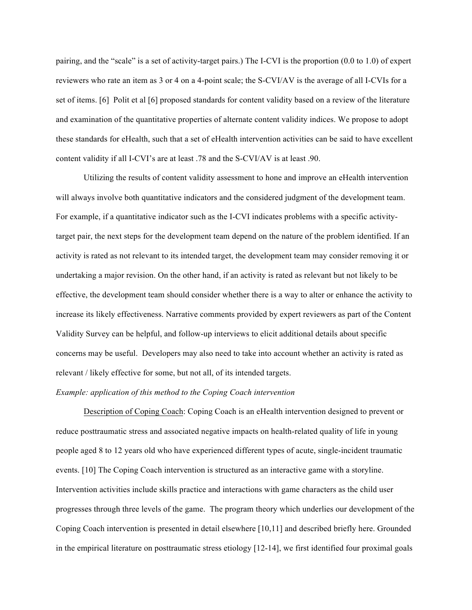pairing, and the "scale" is a set of activity-target pairs.) The I-CVI is the proportion (0.0 to 1.0) of expert reviewers who rate an item as 3 or 4 on a 4-point scale; the S-CVI/AV is the average of all I-CVIs for a set of items. [6] Polit et al [6] proposed standards for content validity based on a review of the literature and examination of the quantitative properties of alternate content validity indices. We propose to adopt these standards for eHealth, such that a set of eHealth intervention activities can be said to have excellent content validity if all I-CVI's are at least .78 and the S-CVI/AV is at least .90.

Utilizing the results of content validity assessment to hone and improve an eHealth intervention will always involve both quantitative indicators and the considered judgment of the development team. For example, if a quantitative indicator such as the I-CVI indicates problems with a specific activitytarget pair, the next steps for the development team depend on the nature of the problem identified. If an activity is rated as not relevant to its intended target, the development team may consider removing it or undertaking a major revision. On the other hand, if an activity is rated as relevant but not likely to be effective, the development team should consider whether there is a way to alter or enhance the activity to increase its likely effectiveness. Narrative comments provided by expert reviewers as part of the Content Validity Survey can be helpful, and follow-up interviews to elicit additional details about specific concerns may be useful. Developers may also need to take into account whether an activity is rated as relevant / likely effective for some, but not all, of its intended targets.

#### *Example: application of this method to the Coping Coach intervention*

Description of Coping Coach: Coping Coach is an eHealth intervention designed to prevent or reduce posttraumatic stress and associated negative impacts on health-related quality of life in young people aged 8 to 12 years old who have experienced different types of acute, single-incident traumatic events. [10] The Coping Coach intervention is structured as an interactive game with a storyline. Intervention activities include skills practice and interactions with game characters as the child user progresses through three levels of the game. The program theory which underlies our development of the Coping Coach intervention is presented in detail elsewhere [10,11] and described briefly here. Grounded in the empirical literature on posttraumatic stress etiology [12-14], we first identified four proximal goals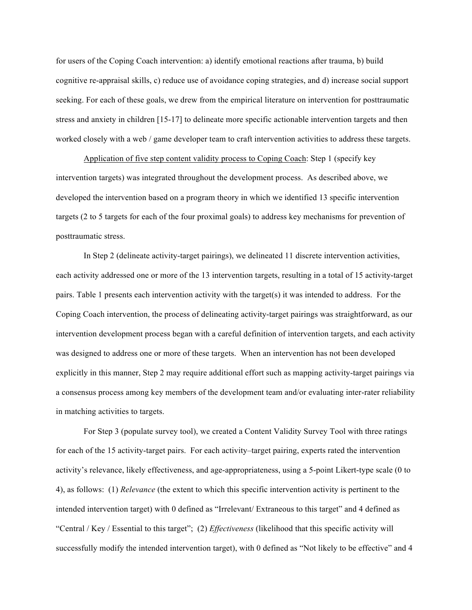for users of the Coping Coach intervention: a) identify emotional reactions after trauma, b) build cognitive re-appraisal skills, c) reduce use of avoidance coping strategies, and d) increase social support seeking. For each of these goals, we drew from the empirical literature on intervention for posttraumatic stress and anxiety in children [15-17] to delineate more specific actionable intervention targets and then worked closely with a web / game developer team to craft intervention activities to address these targets.

Application of five step content validity process to Coping Coach: Step 1 (specify key intervention targets) was integrated throughout the development process. As described above, we developed the intervention based on a program theory in which we identified 13 specific intervention targets (2 to 5 targets for each of the four proximal goals) to address key mechanisms for prevention of posttraumatic stress.

In Step 2 (delineate activity-target pairings), we delineated 11 discrete intervention activities, each activity addressed one or more of the 13 intervention targets, resulting in a total of 15 activity-target pairs. Table 1 presents each intervention activity with the target(s) it was intended to address. For the Coping Coach intervention, the process of delineating activity-target pairings was straightforward, as our intervention development process began with a careful definition of intervention targets, and each activity was designed to address one or more of these targets. When an intervention has not been developed explicitly in this manner, Step 2 may require additional effort such as mapping activity-target pairings via a consensus process among key members of the development team and/or evaluating inter-rater reliability in matching activities to targets.

For Step 3 (populate survey tool), we created a Content Validity Survey Tool with three ratings for each of the 15 activity-target pairs. For each activity–target pairing, experts rated the intervention activity's relevance, likely effectiveness, and age-appropriateness, using a 5-point Likert-type scale (0 to 4), as follows: (1) *Relevance* (the extent to which this specific intervention activity is pertinent to the intended intervention target) with 0 defined as "Irrelevant/ Extraneous to this target" and 4 defined as "Central / Key / Essential to this target"; (2) *Effectiveness* (likelihood that this specific activity will successfully modify the intended intervention target), with 0 defined as "Not likely to be effective" and 4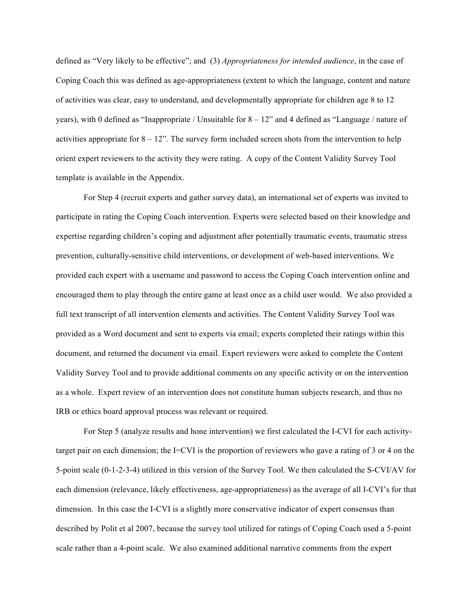defined as "Very likely to be effective"; and (3) *Appropriateness for intended audience*, in the case of Coping Coach this was defined as age-appropriateness (extent to which the language, content and nature of activities was clear, easy to understand, and developmentally appropriate for children age 8 to 12 years), with 0 defined as "Inappropriate / Unsuitable for 8 – 12" and 4 defined as "Language / nature of activities appropriate for  $8 - 12$ ". The survey form included screen shots from the intervention to help orient expert reviewers to the activity they were rating. A copy of the Content Validity Survey Tool template is available in the Appendix.

For Step 4 (recruit experts and gather survey data), an international set of experts was invited to participate in rating the Coping Coach intervention. Experts were selected based on their knowledge and expertise regarding children's coping and adjustment after potentially traumatic events, traumatic stress prevention, culturally-sensitive child interventions, or development of web-based interventions. We provided each expert with a username and password to access the Coping Coach intervention online and encouraged them to play through the entire game at least once as a child user would. We also provided a full text transcript of all intervention elements and activities. The Content Validity Survey Tool was provided as a Word document and sent to experts via email; experts completed their ratings within this document, and returned the document via email. Expert reviewers were asked to complete the Content Validity Survey Tool and to provide additional comments on any specific activity or on the intervention as a whole. Expert review of an intervention does not constitute human subjects research, and thus no IRB or ethics board approval process was relevant or required.

For Step 5 (analyze results and hone intervention) we first calculated the I-CVI for each activitytarget pair on each dimension; the I=CVI is the proportion of reviewers who gave a rating of 3 or 4 on the 5-point scale (0-1-2-3-4) utilized in this version of the Survey Tool. We then calculated the S-CVI/AV for each dimension (relevance, likely effectiveness, age-appropriateness) as the average of all I-CVI's for that dimension. In this case the I-CVI is a slightly more conservative indicator of expert consensus than described by Polit et al 2007, because the survey tool utilized for ratings of Coping Coach used a 5-point scale rather than a 4-point scale. We also examined additional narrative comments from the expert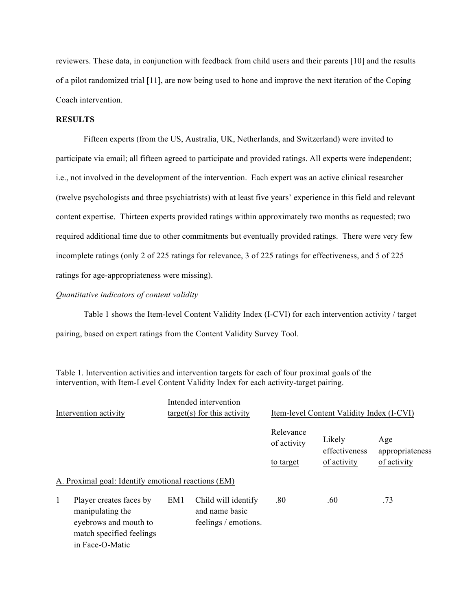reviewers. These data, in conjunction with feedback from child users and their parents [10] and the results of a pilot randomized trial [11], are now being used to hone and improve the next iteration of the Coping Coach intervention.

# **RESULTS**

Fifteen experts (from the US, Australia, UK, Netherlands, and Switzerland) were invited to participate via email; all fifteen agreed to participate and provided ratings. All experts were independent; i.e., not involved in the development of the intervention. Each expert was an active clinical researcher (twelve psychologists and three psychiatrists) with at least five years' experience in this field and relevant content expertise. Thirteen experts provided ratings within approximately two months as requested; two required additional time due to other commitments but eventually provided ratings. There were very few incomplete ratings (only 2 of 225 ratings for relevance, 3 of 225 ratings for effectiveness, and 5 of 225 ratings for age-appropriateness were missing).

### *Quantitative indicators of content validity*

Table 1 shows the Item-level Content Validity Index (I-CVI) for each intervention activity / target pairing, based on expert ratings from the Content Validity Survey Tool.

Table 1. Intervention activities and intervention targets for each of four proximal goals of the intervention, with Item-Level Content Validity Index for each activity-target pairing.

| Intervention activity                                                                                                    | Intended intervention<br>$target(s)$ for this activity |                                                               | Item-level Content Validity Index (I-CVI) |                         |                        |  |
|--------------------------------------------------------------------------------------------------------------------------|--------------------------------------------------------|---------------------------------------------------------------|-------------------------------------------|-------------------------|------------------------|--|
|                                                                                                                          |                                                        |                                                               | Relevance<br>of activity                  | Likely<br>effectiveness | Age<br>appropriateness |  |
|                                                                                                                          |                                                        |                                                               | to target                                 | of activity             | of activity            |  |
| A. Proximal goal: Identify emotional reactions (EM)                                                                      |                                                        |                                                               |                                           |                         |                        |  |
| 1<br>Player creates faces by<br>manipulating the<br>eyebrows and mouth to<br>match specified feelings<br>in Face-O-Matic | EM1                                                    | Child will identify<br>and name basic<br>feelings / emotions. | .80                                       | .60                     | .73                    |  |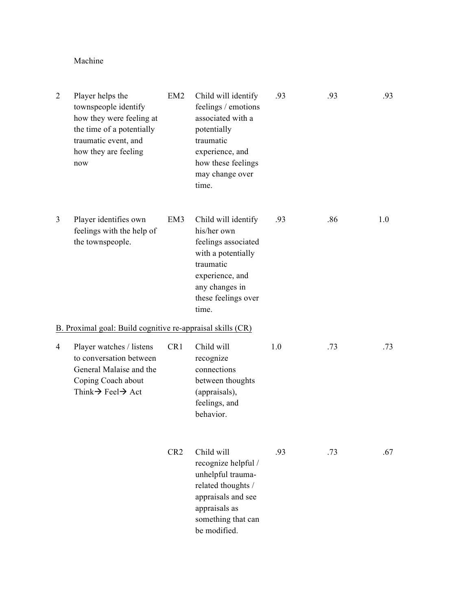# Machine

| $\overline{2}$ | Player helps the<br>townspeople identify<br>how they were feeling at<br>the time of a potentially<br>traumatic event, and<br>how they are feeling<br>now | EM <sub>2</sub> | Child will identify<br>feelings / emotions<br>associated with a<br>potentially<br>traumatic<br>experience, and<br>how these feelings<br>may change over<br>time.  | .93 | .93 | .93 |
|----------------|----------------------------------------------------------------------------------------------------------------------------------------------------------|-----------------|-------------------------------------------------------------------------------------------------------------------------------------------------------------------|-----|-----|-----|
| 3              | Player identifies own<br>feelings with the help of<br>the townspeople.                                                                                   | EM3             | Child will identify<br>his/her own<br>feelings associated<br>with a potentially<br>traumatic<br>experience, and<br>any changes in<br>these feelings over<br>time. | .93 | .86 | 1.0 |
|                | B. Proximal goal: Build cognitive re-appraisal skills (CR)                                                                                               |                 |                                                                                                                                                                   |     |     |     |
| 4              | Player watches / listens<br>to conversation between<br>General Malaise and the<br>Coping Coach about<br>Think $\rightarrow$ Feel $\rightarrow$ Act       | CR1             | Child will<br>recognize<br>connections<br>between thoughts<br>(appraisals),<br>feelings, and<br>behavior.                                                         | 1.0 | .73 | .73 |
|                |                                                                                                                                                          | CR <sub>2</sub> | Child will<br>recognize helpful /<br>unhelpful trauma-<br>related thoughts /<br>appraisals and see<br>appraisals as<br>something that can<br>be modified.         | .93 | .73 | .67 |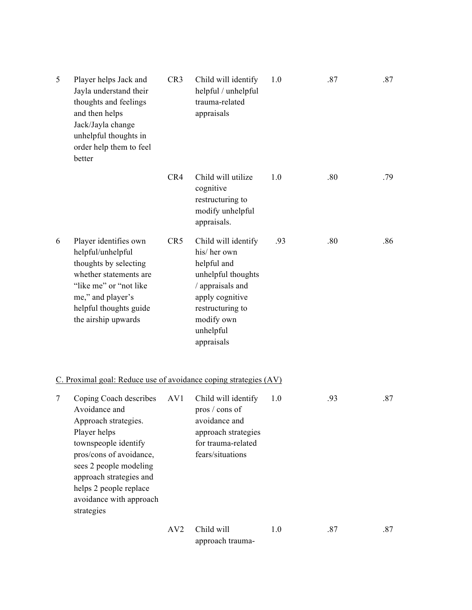| 5<br>Player helps Jack and<br>Jayla understand their<br>thoughts and feelings<br>and then helps<br>Jack/Jayla change<br>unhelpful thoughts in<br>order help them to feel<br>better |                                                                                                                                                                                                                                                            | CR <sub>3</sub> | Child will identify<br>helpful / unhelpful<br>trauma-related<br>appraisals                                                                                                  | 1.0 | .87 | .87 |
|------------------------------------------------------------------------------------------------------------------------------------------------------------------------------------|------------------------------------------------------------------------------------------------------------------------------------------------------------------------------------------------------------------------------------------------------------|-----------------|-----------------------------------------------------------------------------------------------------------------------------------------------------------------------------|-----|-----|-----|
|                                                                                                                                                                                    |                                                                                                                                                                                                                                                            | CR4             | Child will utilize<br>cognitive<br>restructuring to<br>modify unhelpful<br>appraisals.                                                                                      | 1.0 | .80 | .79 |
| 6                                                                                                                                                                                  | Player identifies own<br>helpful/unhelpful<br>thoughts by selecting<br>whether statements are<br>"like me" or "not like<br>me," and player's<br>helpful thoughts guide<br>the airship upwards                                                              | CR <sub>5</sub> | Child will identify<br>his/her own<br>helpful and<br>unhelpful thoughts<br>/ appraisals and<br>apply cognitive<br>restructuring to<br>modify own<br>unhelpful<br>appraisals | .93 | .80 | .86 |
|                                                                                                                                                                                    | C. Proximal goal: Reduce use of avoidance coping strategies (AV)                                                                                                                                                                                           |                 |                                                                                                                                                                             |     |     |     |
| 7                                                                                                                                                                                  | Coping Coach describes<br>Avoidance and<br>Approach strategies.<br>Player helps<br>townspeople identify<br>pros/cons of avoidance,<br>sees 2 people modeling<br>approach strategies and<br>helps 2 people replace<br>avoidance with approach<br>strategies | AV1             | Child will identify<br>pros / cons of<br>avoidance and<br>approach strategies<br>for trauma-related<br>fears/situations                                                     | 1.0 | .93 | .87 |
|                                                                                                                                                                                    |                                                                                                                                                                                                                                                            | AV2             | Child will<br>approach trauma-                                                                                                                                              | 1.0 | .87 | .87 |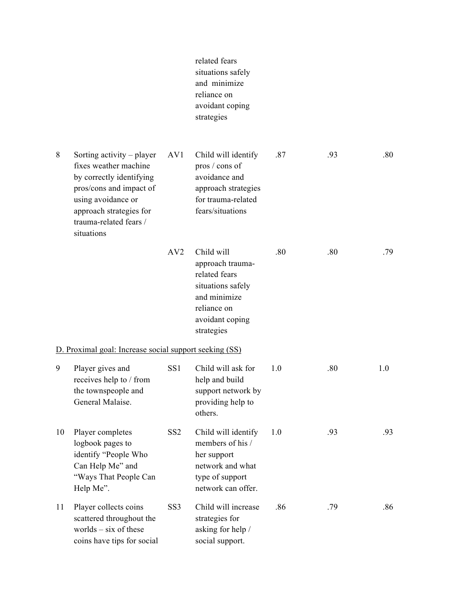|    |                                                                                                                                                                                                    |                 | related fears<br>situations safely<br>and minimize<br>reliance on<br>avoidant coping<br>strategies                                   |     |     |     |
|----|----------------------------------------------------------------------------------------------------------------------------------------------------------------------------------------------------|-----------------|--------------------------------------------------------------------------------------------------------------------------------------|-----|-----|-----|
| 8  | Sorting activity – player<br>fixes weather machine<br>by correctly identifying<br>pros/cons and impact of<br>using avoidance or<br>approach strategies for<br>trauma-related fears /<br>situations | AV <sub>1</sub> | Child will identify<br>pros / cons of<br>avoidance and<br>approach strategies<br>for trauma-related<br>fears/situations              | .87 | .93 | .80 |
|    |                                                                                                                                                                                                    | AV2             | Child will<br>approach trauma-<br>related fears<br>situations safely<br>and minimize<br>reliance on<br>avoidant coping<br>strategies | .80 | .80 | .79 |
|    | D. Proximal goal: Increase social support seeking (SS)                                                                                                                                             |                 |                                                                                                                                      |     |     |     |
| 9  | Player gives and<br>receives help to / from<br>the townspeople and<br>General Malaise.                                                                                                             | SS <sub>1</sub> | Child will ask for<br>help and build<br>support network by<br>providing help to<br>others.                                           | 1.0 | .80 | 1.0 |
| 10 | Player completes<br>logbook pages to<br>identify "People Who<br>Can Help Me" and<br>"Ways That People Can<br>Help Me".                                                                             | SS <sub>2</sub> | Child will identify<br>members of his /<br>her support<br>network and what<br>type of support<br>network can offer.                  | 1.0 | .93 | .93 |
| 11 | Player collects coins<br>scattered throughout the<br>worlds $-$ six of these<br>coins have tips for social                                                                                         | SS <sub>3</sub> | Child will increase<br>strategies for<br>asking for help /<br>social support.                                                        | .86 | .79 | .86 |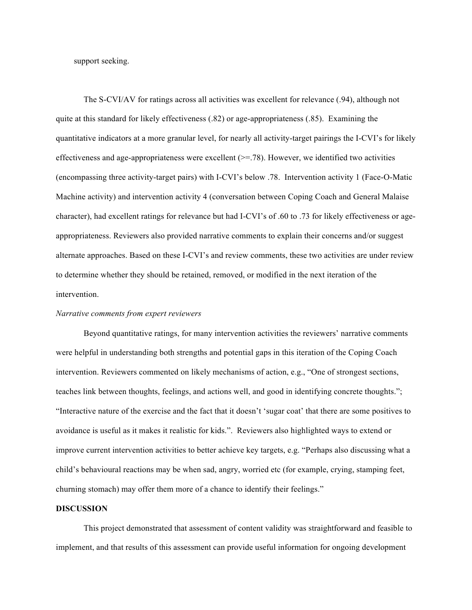support seeking.

The S-CVI/AV for ratings across all activities was excellent for relevance (.94), although not quite at this standard for likely effectiveness (.82) or age-appropriateness (.85). Examining the quantitative indicators at a more granular level, for nearly all activity-target pairings the I-CVI's for likely effectiveness and age-appropriateness were excellent  $(>= .78)$ . However, we identified two activities (encompassing three activity-target pairs) with I-CVI's below .78. Intervention activity 1 (Face-O-Matic Machine activity) and intervention activity 4 (conversation between Coping Coach and General Malaise character), had excellent ratings for relevance but had I-CVI's of .60 to .73 for likely effectiveness or ageappropriateness. Reviewers also provided narrative comments to explain their concerns and/or suggest alternate approaches. Based on these I-CVI's and review comments, these two activities are under review to determine whether they should be retained, removed, or modified in the next iteration of the intervention.

#### *Narrative comments from expert reviewers*

Beyond quantitative ratings, for many intervention activities the reviewers' narrative comments were helpful in understanding both strengths and potential gaps in this iteration of the Coping Coach intervention. Reviewers commented on likely mechanisms of action, e.g., "One of strongest sections, teaches link between thoughts, feelings, and actions well, and good in identifying concrete thoughts."; "Interactive nature of the exercise and the fact that it doesn't 'sugar coat' that there are some positives to avoidance is useful as it makes it realistic for kids.". Reviewers also highlighted ways to extend or improve current intervention activities to better achieve key targets, e.g. "Perhaps also discussing what a child's behavioural reactions may be when sad, angry, worried etc (for example, crying, stamping feet, churning stomach) may offer them more of a chance to identify their feelings."

## **DISCUSSION**

This project demonstrated that assessment of content validity was straightforward and feasible to implement, and that results of this assessment can provide useful information for ongoing development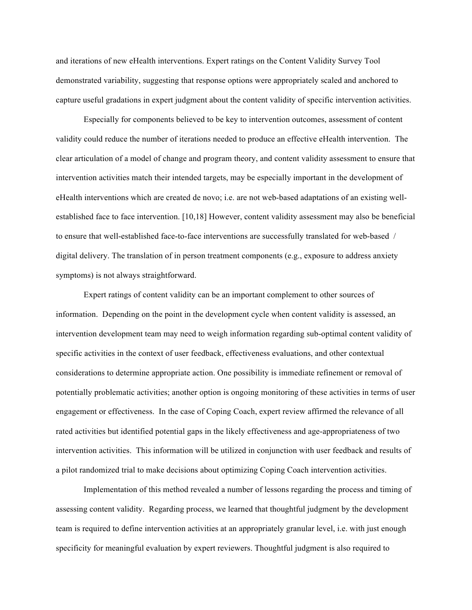and iterations of new eHealth interventions. Expert ratings on the Content Validity Survey Tool demonstrated variability, suggesting that response options were appropriately scaled and anchored to capture useful gradations in expert judgment about the content validity of specific intervention activities.

Especially for components believed to be key to intervention outcomes, assessment of content validity could reduce the number of iterations needed to produce an effective eHealth intervention. The clear articulation of a model of change and program theory, and content validity assessment to ensure that intervention activities match their intended targets, may be especially important in the development of eHealth interventions which are created de novo; i.e. are not web-based adaptations of an existing wellestablished face to face intervention. [10,18] However, content validity assessment may also be beneficial to ensure that well-established face-to-face interventions are successfully translated for web-based / digital delivery. The translation of in person treatment components (e.g., exposure to address anxiety symptoms) is not always straightforward.

Expert ratings of content validity can be an important complement to other sources of information. Depending on the point in the development cycle when content validity is assessed, an intervention development team may need to weigh information regarding sub-optimal content validity of specific activities in the context of user feedback, effectiveness evaluations, and other contextual considerations to determine appropriate action. One possibility is immediate refinement or removal of potentially problematic activities; another option is ongoing monitoring of these activities in terms of user engagement or effectiveness. In the case of Coping Coach, expert review affirmed the relevance of all rated activities but identified potential gaps in the likely effectiveness and age-appropriateness of two intervention activities. This information will be utilized in conjunction with user feedback and results of a pilot randomized trial to make decisions about optimizing Coping Coach intervention activities.

Implementation of this method revealed a number of lessons regarding the process and timing of assessing content validity. Regarding process, we learned that thoughtful judgment by the development team is required to define intervention activities at an appropriately granular level, i.e. with just enough specificity for meaningful evaluation by expert reviewers. Thoughtful judgment is also required to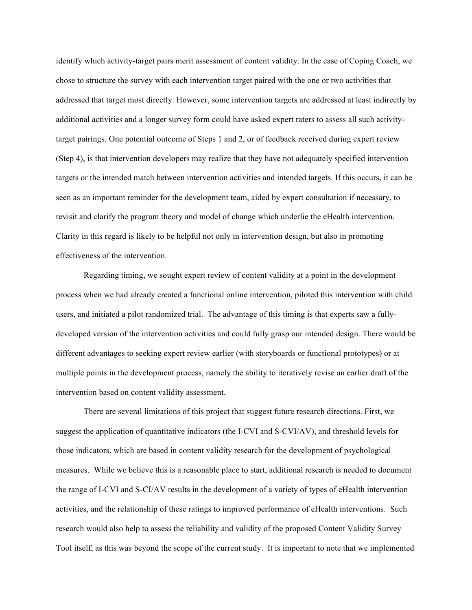identify which activity-target pairs merit assessment of content validity. In the case of Coping Coach, we chose to structure the survey with each intervention target paired with the one or two activities that addressed that target most directly. However, some intervention targets are addressed at least indirectly by additional activities and a longer survey form could have asked expert raters to assess all such activitytarget pairings. One potential outcome of Steps 1 and 2, or of feedback received during expert review (Step 4), is that intervention developers may realize that they have not adequately specified intervention targets or the intended match between intervention activities and intended targets. If this occurs, it can be seen as an important reminder for the development team, aided by expert consultation if necessary, to revisit and clarify the program theory and model of change which underlie the eHealth intervention. Clarity in this regard is likely to be helpful not only in intervention design, but also in promoting effectiveness of the intervention.

Regarding timing, we sought expert review of content validity at a point in the development process when we had already created a functional online intervention, piloted this intervention with child users, and initiated a pilot randomized trial. The advantage of this timing is that experts saw a fullydeveloped version of the intervention activities and could fully grasp our intended design. There would be different advantages to seeking expert review earlier (with storyboards or functional prototypes) or at multiple points in the development process, namely the ability to iteratively revise an earlier draft of the intervention based on content validity assessment.

There are several limitations of this project that suggest future research directions. First, we suggest the application of quantitative indicators (the I-CVI and S-CVI/AV), and threshold levels for those indicators, which are based in content validity research for the development of psychological measures. While we believe this is a reasonable place to start, additional research is needed to document the range of I-CVI and S-CI/AV results in the development of a variety of types of eHealth intervention activities, and the relationship of these ratings to improved performance of eHealth interventions. Such research would also help to assess the reliability and validity of the proposed Content Validity Survey Tool itself, as this was beyond the scope of the current study. It is important to note that we implemented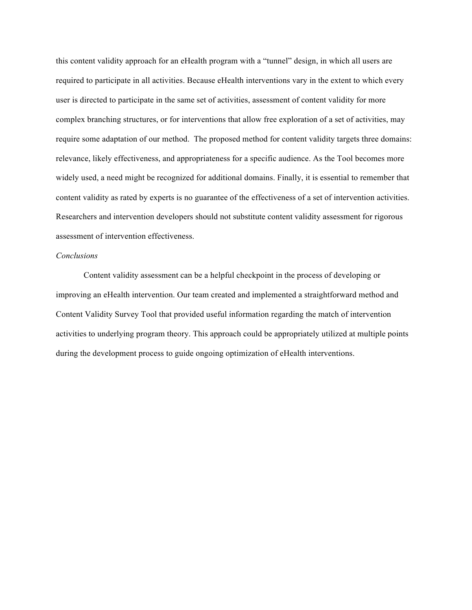this content validity approach for an eHealth program with a "tunnel" design, in which all users are required to participate in all activities. Because eHealth interventions vary in the extent to which every user is directed to participate in the same set of activities, assessment of content validity for more complex branching structures, or for interventions that allow free exploration of a set of activities, may require some adaptation of our method. The proposed method for content validity targets three domains: relevance, likely effectiveness, and appropriateness for a specific audience. As the Tool becomes more widely used, a need might be recognized for additional domains. Finally, it is essential to remember that content validity as rated by experts is no guarantee of the effectiveness of a set of intervention activities. Researchers and intervention developers should not substitute content validity assessment for rigorous assessment of intervention effectiveness.

## *Conclusions*

Content validity assessment can be a helpful checkpoint in the process of developing or improving an eHealth intervention. Our team created and implemented a straightforward method and Content Validity Survey Tool that provided useful information regarding the match of intervention activities to underlying program theory. This approach could be appropriately utilized at multiple points during the development process to guide ongoing optimization of eHealth interventions.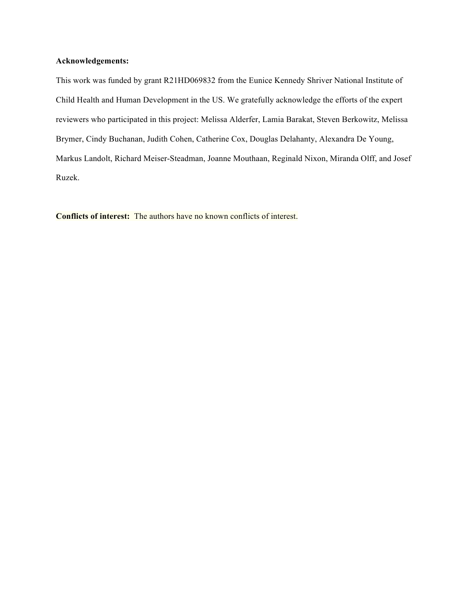## **Acknowledgements:**

This work was funded by grant R21HD069832 from the Eunice Kennedy Shriver National Institute of Child Health and Human Development in the US. We gratefully acknowledge the efforts of the expert reviewers who participated in this project: Melissa Alderfer, Lamia Barakat, Steven Berkowitz, Melissa Brymer, Cindy Buchanan, Judith Cohen, Catherine Cox, Douglas Delahanty, Alexandra De Young, Markus Landolt, Richard Meiser-Steadman, Joanne Mouthaan, Reginald Nixon, Miranda Olff, and Josef Ruzek.

**Conflicts of interest:** The authors have no known conflicts of interest.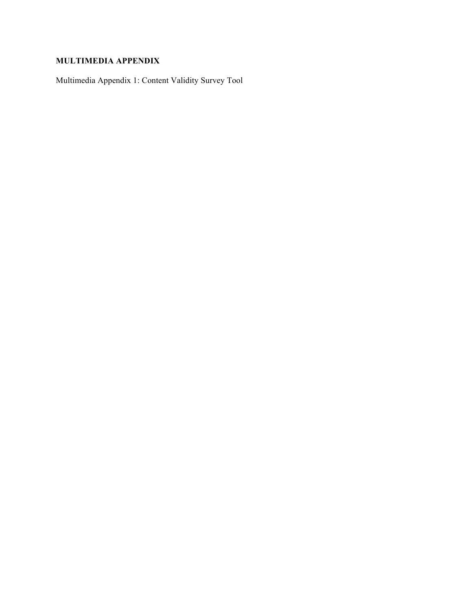# **MULTIMEDIA APPENDIX**

Multimedia Appendix 1: Content Validity Survey Tool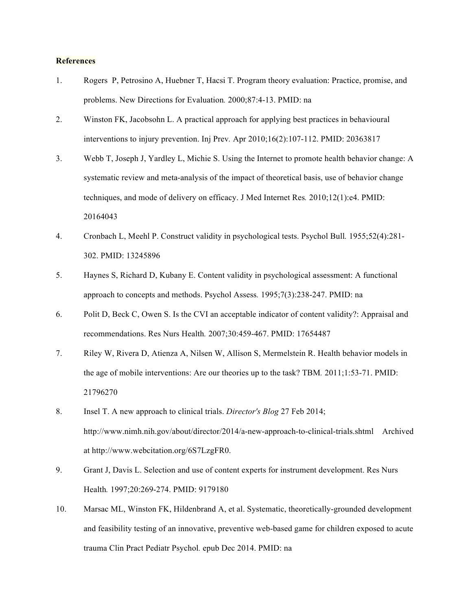#### **References**

- 1. Rogers P, Petrosino A, Huebner T, Hacsi T. Program theory evaluation: Practice, promise, and problems. New Directions for Evaluation*.* 2000;87:4-13. PMID: na
- 2. Winston FK, Jacobsohn L. A practical approach for applying best practices in behavioural interventions to injury prevention. Inj Prev*.* Apr 2010;16(2):107-112. PMID: 20363817
- 3. Webb T, Joseph J, Yardley L, Michie S. Using the Internet to promote health behavior change: A systematic review and meta-analysis of the impact of theoretical basis, use of behavior change techniques, and mode of delivery on efficacy. J Med Internet Res*.* 2010;12(1):e4. PMID: 20164043
- 4. Cronbach L, Meehl P. Construct validity in psychological tests. Psychol Bull*.* 1955;52(4):281- 302. PMID: 13245896
- 5. Haynes S, Richard D, Kubany E. Content validity in psychological assessment: A functional approach to concepts and methods. Psychol Assess*.* 1995;7(3):238-247. PMID: na
- 6. Polit D, Beck C, Owen S. Is the CVI an acceptable indicator of content validity?: Appraisal and recommendations. Res Nurs Health*.* 2007;30:459-467. PMID: 17654487
- 7. Riley W, Rivera D, Atienza A, Nilsen W, Allison S, Mermelstein R. Health behavior models in the age of mobile interventions: Are our theories up to the task? TBM*.* 2011;1:53-71. PMID: 21796270
- 8. Insel T. A new approach to clinical trials. *Director's Blog* 27 Feb 2014; http://www.nimh.nih.gov/about/director/2014/a-new-approach-to-clinical-trials.shtml Archived at http://www.webcitation.org/6S7LzgFR0.
- 9. Grant J, Davis L. Selection and use of content experts for instrument development. Res Nurs Health*.* 1997;20:269-274. PMID: 9179180
- 10. Marsac ML, Winston FK, Hildenbrand A, et al. Systematic, theoretically-grounded development and feasibility testing of an innovative, preventive web-based game for children exposed to acute trauma Clin Pract Pediatr Psychol*.* epub Dec 2014. PMID: na